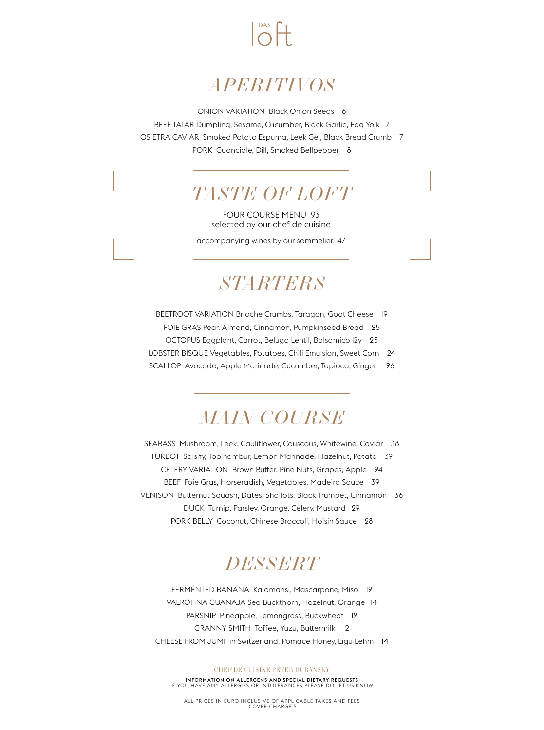

# *APERITIVOS*

ONION VARIATION Black Onion Seeds 6

BEEF TATAR Dumpling, Sesame, Cucumber, Black Garlic, Egg Yolk 7 OSIETRA CAVIAR Smoked Potato Espuma, Leek Gel, Black Bread Crumb 7 PORK Guanciale, Dill, Smoked Bellpepper 8

### *TASTE OF LOFT*

FOUR COURSE MENU 93 selected by our chef de cuisine

accompanying wines by our sommelier 47

#### *STARTERS*

BEETROOT VARIATION Brioche Crumbs, Taragon, Goat Cheese 19 FOIE GRAS Pear, Almond, Cinnamon, Pumpkinseed Bread 25 OCTOPUS Eggplant, Carrot, Beluga Lentil, Balsamico 12y 25 LOBSTER BISQUE Vegetables, Potatoes, Chili Emulsion, Sweet Corn 24

SCALLOP Avocado, Apple Marinade, Cucumber, Tapioca, Ginger 26

# *MAIN COURSE*

SEABASS Mushroom, Leek, Cauliflower, Couscous, Whitewine, Caviar 38 TURBOT Salsify, Topinambur, Lemon Marinade, Hazelnut, Potato 39 CELERY VARIATION Brown Butter, Pine Nuts, Grapes, Apple 24 BEEF Foie Gras, Horseradish, Vegetables, Madeira Sauce 39 VENISON Butternut Squash, Dates, Shallots, Black Trumpet, Cinnamon 36 DUCK Turnip, Parsley, Orange, Celery, Mustard 29 PORK BELLY Coconut, Chinese Broccoli, Hoisin Sauce 28

#### *DESSERT*

FERMENTED BANANA Kalamansi, Mascarpone, Miso 12 VALROHNA GUANAJA Sea Buckthorn, Hazelnut, Orange 14 PARSNIP Pineapple, Lemongrass, Buckwheat 12 GRANNY SMITH Toffee, Yuzu, Buttermilk 12 CHEESE FROM JUMI in Switzerland, Pomace Honey, Ligu Lehm 14

#### CHEF DE CUISINE PETER DURANSKY

INFORMATION ON ALLERGENS AND SPECIAL DIETARY REQUESTS IF YOU HAVE ANY ALLERGIES OR INTOLERANCES PLEASE DO LET US KNOW